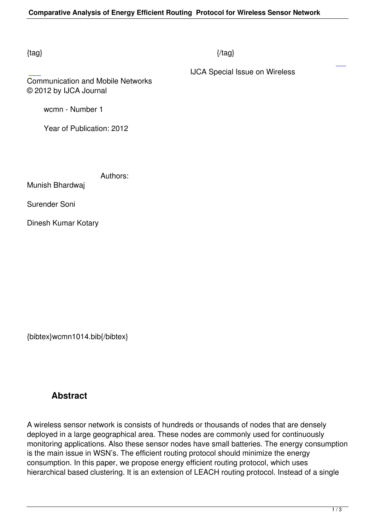## $\{tag\}$

IJCA Special Issue on Wireless

## Communication and Mobile Networks © 2012 by IJCA Journal

wcmn - Number 1

Year of Publication: 2012

Authors:

Munish Bhardwaj

Surender Soni

Dinesh Kumar Kotary

{bibtex}wcmn1014.bib{/bibtex}

# **Abstract**

A wireless sensor network is consists of hundreds or thousands of nodes that are densely deployed in a large geographical area. These nodes are commonly used for continuously monitoring applications. Also these sensor nodes have small batteries. The energy consumption is the main issue in WSN's. The efficient routing protocol should minimize the energy consumption. In this paper, we propose energy efficient routing protocol, which uses hierarchical based clustering. It is an extension of LEACH routing protocol. Instead of a single